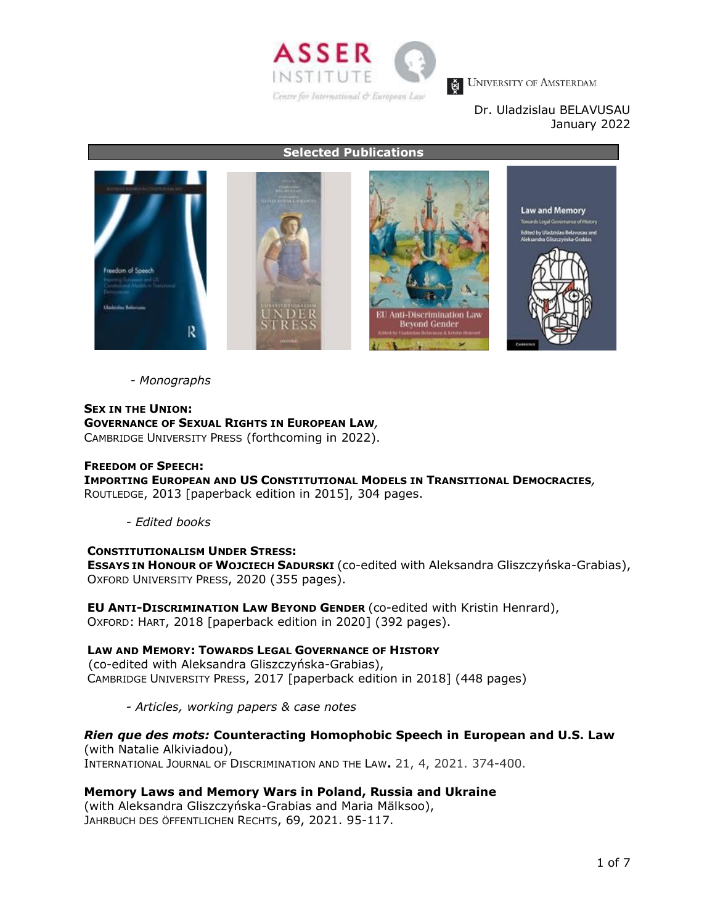

# Dr. Uladzislau BELAVUSAU January 2022

**Selected Publications**



*- Monographs*

# **SEX IN THE UNION: GOVERNANCE OF SEXUAL RIGHTS IN EUROPEAN LAW***,*

CAMBRIDGE UNIVERSITY PRESS (forthcoming in 2022).

# **FREEDOM OF SPEECH:**

**IMPORTING EUROPEAN AND US CONSTITUTIONAL MODELS IN TRANSITIONAL DEMOCRACIES***,* ROUTLEDGE, 2013 [paperback edition in 2015], 304 pages.

*- Edited books*

# **CONSTITUTIONALISM UNDER STRESS:**

**ESSAYS IN HONOUR OF WOJCIECH SADURSKI** (co-edited with Aleksandra Gliszczyńska-Grabias), OXFORD UNIVERSITY PRESS, 2020 (355 pages).

**EU ANTI-DISCRIMINATION LAW BEYOND GENDER** (co-edited with Kristin Henrard), OXFORD: HART, 2018 [paperback edition in 2020] (392 pages).

# **LAW AND MEMORY: TOWARDS LEGAL GOVERNANCE OF HISTORY**

(co-edited with Aleksandra Gliszczyńska-Grabias), CAMBRIDGE UNIVERSITY PRESS, 2017 [paperback edition in 2018] (448 pages)

*- Articles, working papers & case notes* 

# *Rien que des mots:* **Counteracting Homophobic Speech in European and U.S. Law**

(with Natalie Alkiviadou), INTERNATIONAL JOURNAL OF DISCRIMINATION AND THE LAW**.** 21, 4, 2021. 374-400.

# **Memory Laws and Memory Wars in Poland, Russia and Ukraine**

(with Aleksandra Gliszczyńska-Grabias and Maria Mälksoo), JAHRBUCH DES ÖFFENTLICHEN RECHTS, 69, 2021. 95-117.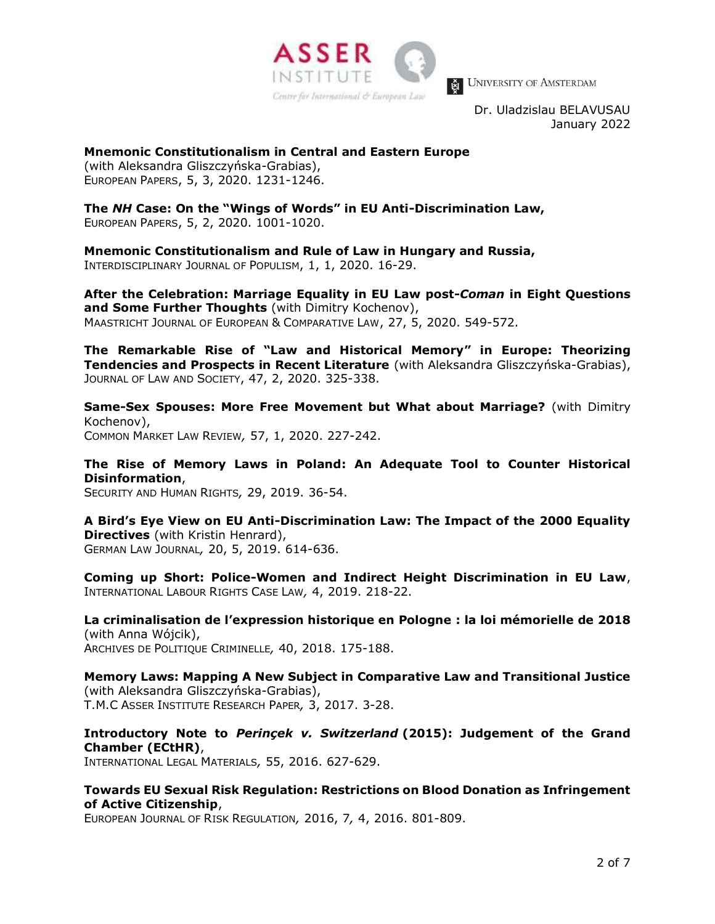

Dr. Uladzislau BELAVUSAU January 2022

**Mnemonic Constitutionalism in Central and Eastern Europe** (with Aleksandra Gliszczyńska-Grabias), EUROPEAN PAPERS, 5, 3, 2020. 1231-1246.

**The** *NH* **Case: On the "Wings of Words" in EU Anti-Discrimination Law,** EUROPEAN PAPERS, 5, 2, 2020. 1001-1020.

**Mnemonic Constitutionalism and Rule of Law in Hungary and Russia,** INTERDISCIPLINARY JOURNAL OF POPULISM, 1, 1, 2020. 16-29.

**After the Celebration: Marriage Equality in EU Law post-***Coman* **in Eight Questions and Some Further Thoughts** (with Dimitry Kochenov), MAASTRICHT JOURNAL OF EUROPEAN & COMPARATIVE LAW, 27, 5, 2020. 549-572.

**The Remarkable Rise of "Law and Historical Memory" in Europe: Theorizing Tendencies and Prospects in Recent Literature** (with Aleksandra Gliszczyńska-Grabias), JOURNAL OF LAW AND SOCIETY, 47, 2, 2020. 325-338.

**Same-Sex Spouses: More Free Movement but What about Marriage?** (with Dimitry Kochenov), COMMON MARKET LAW REVIEW*,* 57, 1, 2020. 227-242.

**The Rise of Memory Laws in Poland: An Adequate Tool to Counter Historical Disinformation**,

SECURITY AND HUMAN RIGHTS*,* 29, 2019. 36-54.

**A Bird's Eye View on EU Anti-Discrimination Law: The Impact of the 2000 Equality Directives** (with Kristin Henrard), GERMAN LAW JOURNAL*,* 20, 5, 2019. 614-636.

**Coming up Short: Police-Women and Indirect Height Discrimination in EU Law**, INTERNATIONAL LABOUR RIGHTS CASE LAW*,* 4, 2019. 218-22.

**La criminalisation de l'expression historique en Pologne : la loi mémorielle de 2018**  (with Anna Wójcik), ARCHIVES DE POLITIQUE CRIMINELLE*,* 40, 2018. 175-188.

**Memory Laws: Mapping A New Subject in Comparative Law and Transitional Justice**  (with Aleksandra Gliszczyńska-Grabias), T.M.C ASSER INSTITUTE RESEARCH PAPER*,* 3, 2017. 3-28.

**Introductory Note to** *Perinçek v. Switzerland* **(2015): Judgement of the Grand Chamber (ECtHR)**,

INTERNATIONAL LEGAL MATERIALS*,* 55, 2016. 627-629.

**Towards EU Sexual Risk Regulation: Restrictions on Blood Donation as Infringement of Active Citizenship**,

EUROPEAN JOURNAL OF RISK REGULATION*,* 2016, 7*,* 4, 2016. 801-809.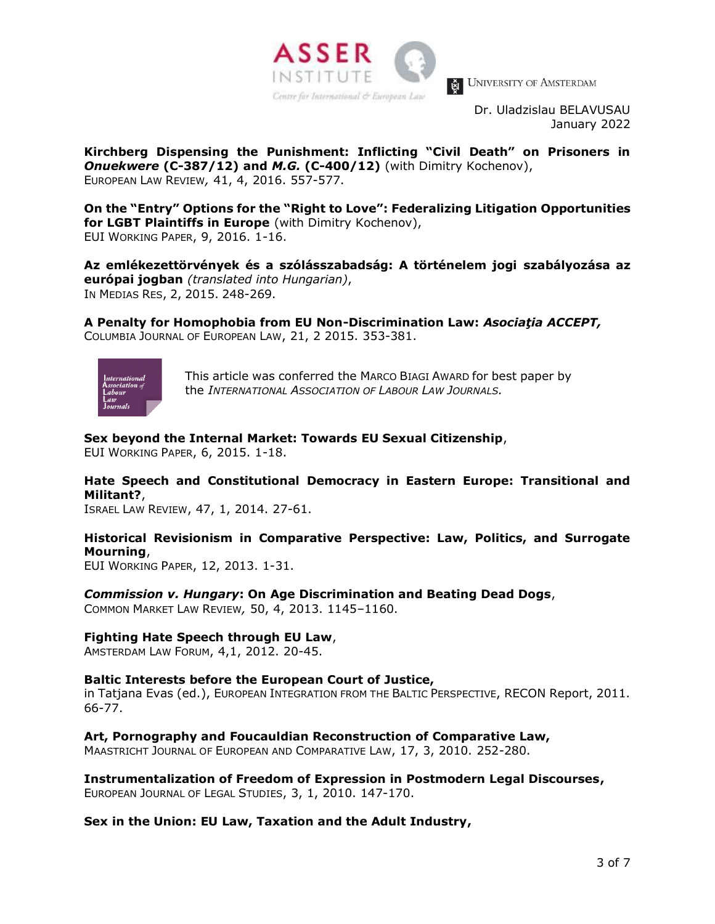

Dr. Uladzislau BELAVUSAU January 2022

**Kirchberg Dispensing the Punishment: Inflicting "Civil Death" on Prisoners in**  *Onuekwere* **(C-387/12) and** *M.G.* **(C-400/12)** (with Dimitry Kochenov), EUROPEAN LAW REVIEW*,* 41, 4, 2016. 557-577.

**On the "Entry" Options for the "Right to Love": Federalizing Litigation Opportunities for LGBT Plaintiffs in Europe** (with Dimitry Kochenov), EUI WORKING PAPER, 9, 2016. 1-16.

**Az emlékezettörvények és a szólásszabadság: A történelem jogi szabályozása az európai jogban** *(translated into Hungarian)*, IN MEDIAS RES, 2, 2015. 248-269.

**A Penalty for Homophobia from EU Non-Discrimination Law:** *Asociaţia ACCEPT,* COLUMBIA JOURNAL OF EUROPEAN LAW, 21, 2 2015. 353-381.



This article was conferred the MARCO BIAGI AWARD for best paper by the *INTERNATIONAL ASSOCIATION OF LABOUR LAW JOURNALS.*

# **Sex beyond the Internal Market: Towards EU Sexual Citizenship**,

EUI WORKING PAPER, 6, 2015. 1-18.

# **Hate Speech and Constitutional Democracy in Eastern Europe: Transitional and Militant?**,

ISRAEL LAW REVIEW, 47, 1, 2014. 27-61.

# **Historical Revisionism in Comparative Perspective: Law, Politics, and Surrogate Mourning**,

EUI WORKING PAPER, 12, 2013. 1-31.

# *Commission v. Hungary***: On Age Discrimination and Beating Dead Dogs**,

COMMON MARKET LAW REVIEW*,* 50, 4, 2013. 1145–1160.

# **Fighting Hate Speech through EU Law**,

AMSTERDAM LAW FORUM, 4,1, 2012. 20-45.

# **Baltic Interests before the European Court of Justice,**

in Tatjana Evas (ed.), EUROPEAN INTEGRATION FROM THE BALTIC PERSPECTIVE, RECON Report, 2011. 66-77.

# **Art, Pornography and Foucauldian Reconstruction of Comparative Law,**

MAASTRICHT JOURNAL OF EUROPEAN AND COMPARATIVE LAW, 17, 3, 2010. 252-280.

# **Instrumentalization of Freedom of Expression in Postmodern Legal Discourses,**

EUROPEAN JOURNAL OF LEGAL STUDIES, 3, 1, 2010. 147-170.

# **Sex in the Union: EU Law, Taxation and the Adult Industry,**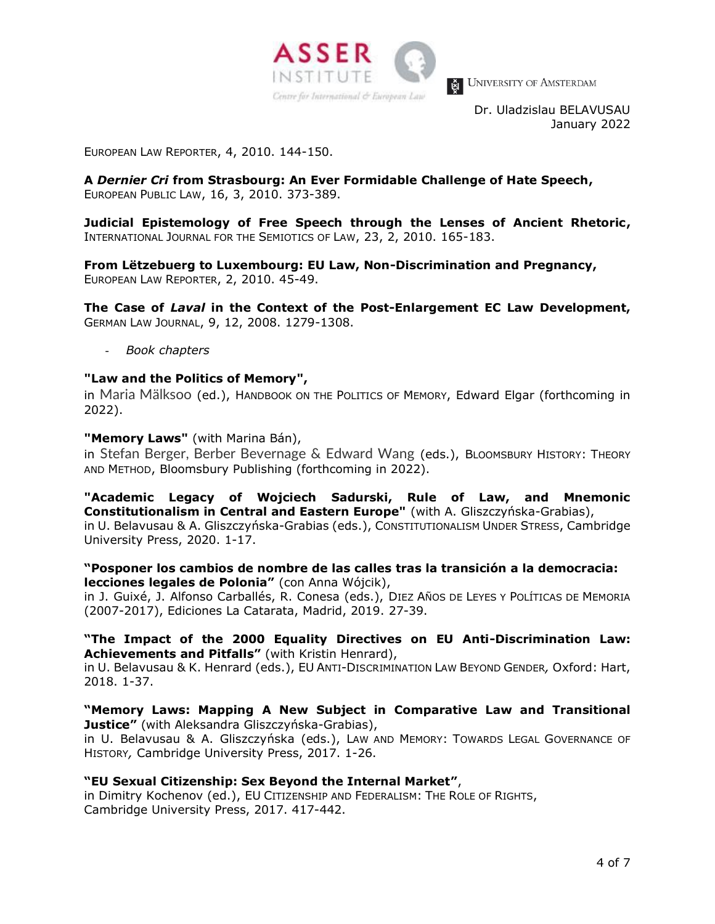

Dr. Uladzislau BELAVUSAU January 2022

EUROPEAN LAW REPORTER, 4, 2010. 144-150.

**A** *Dernier Cri* **from Strasbourg: An Ever Formidable Challenge of Hate Speech,**  EUROPEAN PUBLIC LAW, 16, 3, 2010. 373-389.

**Judicial Epistemology of Free Speech through the Lenses of Ancient Rhetoric,**  INTERNATIONAL JOURNAL FOR THE SEMIOTICS OF LAW, 23, 2, 2010. 165-183.

**From Lëtzebuerg to Luxembourg: EU Law, Non-Discrimination and Pregnancy,**  EUROPEAN LAW REPORTER, 2, 2010. 45-49.

**The Case of** *Laval* **in the Context of the Post-Enlargement EC Law Development,**  GERMAN LAW JOURNAL, 9, 12, 2008. 1279-1308.

- *Book chapters* 

# **"Law and the Politics of Memory",**

in Maria Mälksoo (ed.), HANDBOOK ON THE POLITICS OF MEMORY, Edward Elgar (forthcoming in 2022).

#### **"Memory Laws"** (with Marina Bán),

in Stefan Berger, Berber Bevernage & Edward Wang (eds.), BLOOMSBURY HISTORY: THEORY AND METHOD, Bloomsbury Publishing (forthcoming in 2022).

**"Academic Legacy of Wojciech Sadurski, Rule of Law, and Mnemonic Constitutionalism in Central and Eastern Europe"** (with A. Gliszczyńska-Grabias), in U. Belavusau & A. Gliszczyńska-Grabias (eds.), CONSTITUTIONALISM UNDER STRESS, Cambridge University Press, 2020. 1-17.

#### **"Posponer los cambios de nombre de las calles tras la transición a la democracia: lecciones legales de Polonia"** (con Anna Wójcik),

in J. Guixé, J. Alfonso Carballés, R. Conesa (eds.), DIEZ AÑOS DE LEYES Y POLÍTICAS DE MEMORIA (2007-2017), Ediciones La Catarata, Madrid, 2019. 27-39.

#### **"The Impact of the 2000 Equality Directives on EU Anti-Discrimination Law: Achievements and Pitfalls"** (with Kristin Henrard),

in U. Belavusau & K. Henrard (eds.), EU ANTI-DISCRIMINATION LAW BEYOND GENDER*,* Oxford: Hart, 2018. 1-37.

#### **"Memory Laws: Mapping A New Subject in Comparative Law and Transitional Justice"** (with Aleksandra Gliszczyńska-Grabias),

in U. Belavusau & A. Gliszczyńska (eds.), LAW AND MEMORY: TOWARDS LEGAL GOVERNANCE OF HISTORY*,* Cambridge University Press, 2017. 1-26.

# **"EU Sexual Citizenship: Sex Beyond the Internal Market"**,

in Dimitry Kochenov (ed.), EU CITIZENSHIP AND FEDERALISM: THE ROLE OF RIGHTS, Cambridge University Press, 2017. 417-442.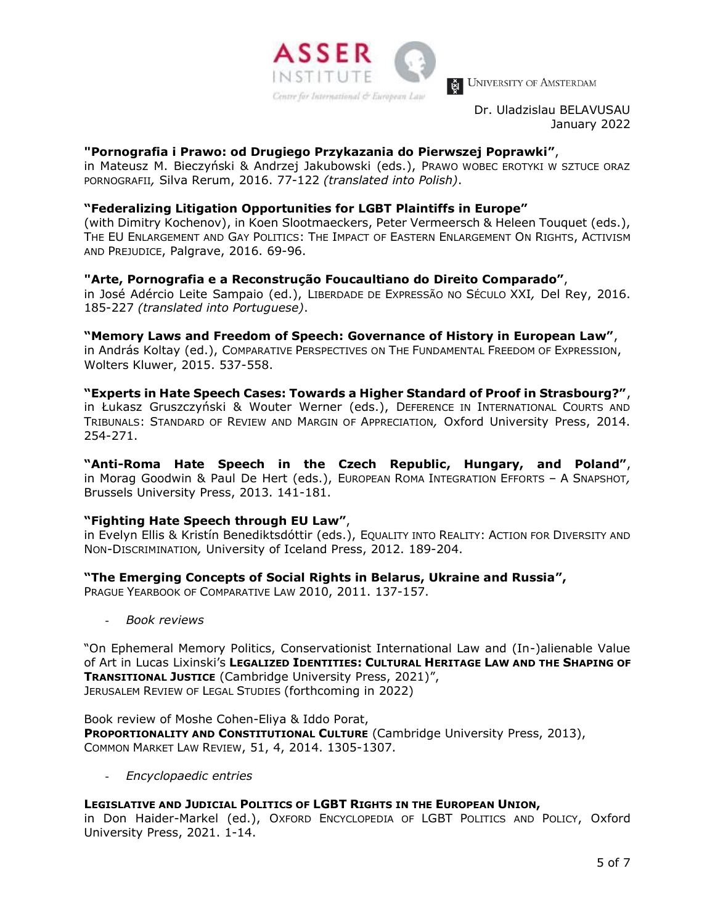

Dr. Uladzislau BELAVUSAU January 2022

# **"Pornografia i Prawo: od Drugiego Przykazania do Pierwszej Poprawki"**,

in Mateusz M. Bieczyński & Andrzej Jakubowski (eds.), PRAWO WOBEC EROTYKI W SZTUCE ORAZ PORNOGRAFII*,* Silva Rerum, 2016. 77-122 *(translated into Polish)*.

# **"Federalizing Litigation Opportunities for LGBT Plaintiffs in Europe"**

(with Dimitry Kochenov), in Koen Slootmaeckers, Peter Vermeersch & Heleen Touquet (eds.), THE EU ENLARGEMENT AND GAY POLITICS: THE IMPACT OF EASTERN ENLARGEMENT ON RIGHTS, ACTIVISM AND PREJUDICE, Palgrave, 2016. 69-96.

# **"Arte, Pornografia e a Reconstrução Foucaultiano do Direito Comparado"**,

in José Adércio Leite Sampaio (ed.), LIBERDADE DE EXPRESSÃO NO SÉCULO XXI*,* Del Rey, 2016. 185-227 *(translated into Portuguese)*.

**"Memory Laws and Freedom of Speech: Governance of History in European Law"**, in András Koltay (ed.), COMPARATIVE PERSPECTIVES ON THE FUNDAMENTAL FREEDOM OF EXPRESSION, Wolters Kluwer, 2015. 537-558.

**"Experts in Hate Speech Cases: Towards a Higher Standard of Proof in Strasbourg?"**, in Łukasz Gruszczyński & Wouter Werner (eds.), DEFERENCE IN INTERNATIONAL COURTS AND TRIBUNALS: STANDARD OF REVIEW AND MARGIN OF APPRECIATION*,* Oxford University Press, 2014. 254-271.

**"Anti-Roma Hate Speech in the Czech Republic, Hungary, and Poland"**, in Morag Goodwin & Paul De Hert (eds.), EUROPEAN ROMA INTEGRATION EFFORTS – A SNAPSHOT*,*  Brussels University Press, 2013. 141-181.

# **"Fighting Hate Speech through EU Law"**,

in Evelyn Ellis & Kristín Benediktsdóttir (eds.), EQUALITY INTO REALITY: ACTION FOR DIVERSITY AND NON-DISCRIMINATION*,* University of Iceland Press, 2012. 189-204.

# **"The Emerging Concepts of Social Rights in Belarus, Ukraine and Russia",**

PRAGUE YEARBOOK OF COMPARATIVE LAW 2010, 2011. 137-157.

- *Book reviews*

"On Ephemeral Memory Politics, Conservationist International Law and (In-)alienable Value of Art in Lucas Lixinski's **LEGALIZED IDENTITIES: CULTURAL HERITAGE LAW AND THE SHAPING OF TRANSITIONAL JUSTICE** (Cambridge University Press, 2021)", JERUSALEM REVIEW OF LEGAL STUDIES (forthcoming in 2022)

Book review of Moshe Cohen-Eliya & Iddo Porat, **PROPORTIONALITY AND CONSTITUTIONAL CULTURE** (Cambridge University Press, 2013), COMMON MARKET LAW REVIEW, 51, 4, 2014. 1305-1307.

- *Encyclopaedic entries*

# **LEGISLATIVE AND JUDICIAL POLITICS OF LGBT RIGHTS IN THE EUROPEAN UNION,**

in Don Haider-Markel (ed.), OXFORD ENCYCLOPEDIA OF LGBT POLITICS AND POLICY, Oxford University Press, 2021. 1-14.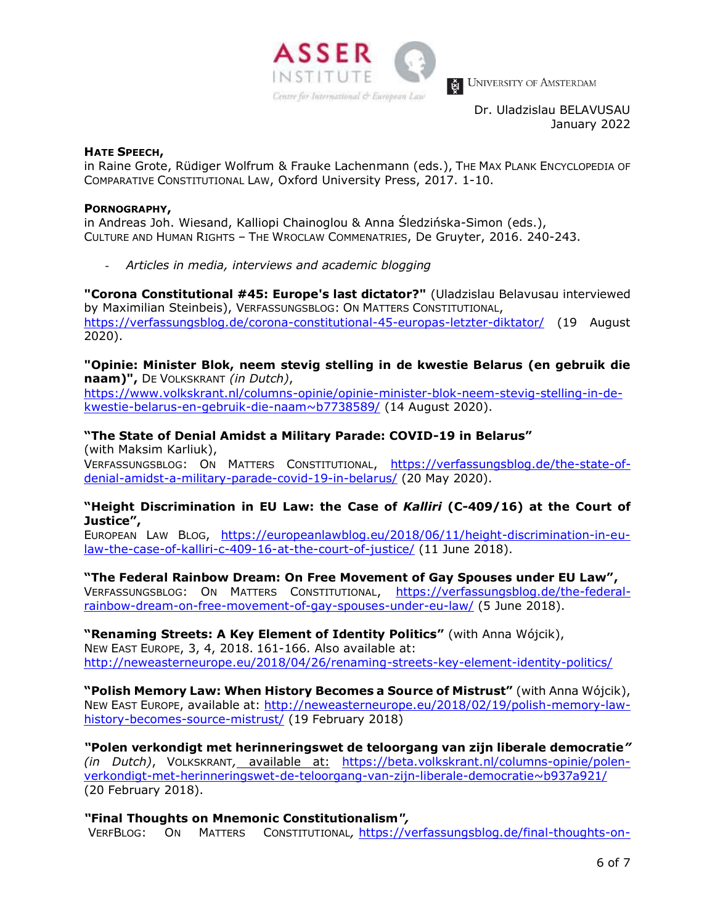

Dr. Uladzislau BELAVUSAU January 2022

#### **HATE SPEECH,**

in Raine Grote, Rüdiger Wolfrum & Frauke Lachenmann (eds.), THE MAX PLANK ENCYCLOPEDIA OF COMPARATIVE CONSTITUTIONAL LAW, Oxford University Press, 2017. 1-10.

#### **PORNOGRAPHY,**

in Andreas Joh. Wiesand, Kalliopi Chainoglou & Anna Śledzińska-Simon (eds.), CULTURE AND HUMAN RIGHTS – THE WROCLAW COMMENATRIES, De Gruyter, 2016. 240-243.

- *Articles in media, interviews and academic blogging*

**"Corona Constitutional #45: Europe's last dictator?"** (Uladzislau Belavusau interviewed by Maximilian Steinbeis), VERFASSUNGSBLOG: ON MATTERS CONSTITUTIONAL, <https://verfassungsblog.de/corona-constitutional-45-europas-letzter-diktator/> (19 August 2020).

**"Opinie: Minister Blok, neem stevig stelling in de kwestie Belarus (en gebruik die naam)",** DE VOLKSKRANT *(in Dutch)*,

[https://www.volkskrant.nl/columns-opinie/opinie-minister-blok-neem-stevig-stelling-in-de](https://www.volkskrant.nl/columns-opinie/opinie-minister-blok-neem-stevig-stelling-in-de-kwestie-belarus-en-gebruik-die-naam~b7738589/)[kwestie-belarus-en-gebruik-die-naam~b7738589/](https://www.volkskrant.nl/columns-opinie/opinie-minister-blok-neem-stevig-stelling-in-de-kwestie-belarus-en-gebruik-die-naam~b7738589/) (14 August 2020).

# **"The State of Denial Amidst a Military Parade: COVID-19 in Belarus"**

(with Maksim Karliuk), VERFASSUNGSBLOG: ON MATTERS CONSTITUTIONAL, [https://verfassungsblog.de/the-state-of](https://verfassungsblog.de/the-state-of-denial-amidst-a-military-parade-covid-19-in-belarus/)[denial-amidst-a-military-parade-covid-19-in-belarus/](https://verfassungsblog.de/the-state-of-denial-amidst-a-military-parade-covid-19-in-belarus/) (20 May 2020).

# **"Height Discrimination in EU Law: the Case of** *Kalliri* **(C-409/16) at the Court of Justice",**

EUROPEAN LAW BLOG, [https://europeanlawblog.eu/2018/06/11/height-discrimination-in-eu](https://europeanlawblog.eu/2018/06/11/height-discrimination-in-eu-law-the-case-of-kalliri-c-409-16-at-the-court-of-justice/)[law-the-case-of-kalliri-c-409-16-at-the-court-of-justice/](https://europeanlawblog.eu/2018/06/11/height-discrimination-in-eu-law-the-case-of-kalliri-c-409-16-at-the-court-of-justice/) (11 June 2018).

#### **"The Federal Rainbow Dream: On Free Movement of Gay Spouses under EU Law",**

VERFASSUNGSBLOG: ON MATTERS CONSTITUTIONAL, [https://verfassungsblog.de/the-federal](https://verfassungsblog.de/the-federal-rainbow-dream-on-free-movement-of-gay-spouses-under-eu-law/)[rainbow-dream-on-free-movement-of-gay-spouses-under-eu-law/](https://verfassungsblog.de/the-federal-rainbow-dream-on-free-movement-of-gay-spouses-under-eu-law/) (5 June 2018).

**"Renaming Streets: A Key Element of Identity Politics"** (with Anna Wójcik), NEW EAST EUROPE, 3, 4, 2018. 161-166. Also available at: <http://neweasterneurope.eu/2018/04/26/renaming-streets-key-element-identity-politics/>

**"Polish Memory Law: When History Becomes a Source of Mistrust"** (with Anna Wójcik), NEW EAST EUROPE, available at: [http://neweasterneurope.eu/2018/02/19/polish-memory-law](http://neweasterneurope.eu/2018/02/19/polish-memory-law-history-becomes-source-mistrust/)[history-becomes-source-mistrust/](http://neweasterneurope.eu/2018/02/19/polish-memory-law-history-becomes-source-mistrust/) (19 February 2018)

*"***Polen verkondigt met herinneringswet de teloorgang van zijn liberale democratie***" (in Dutch)*, VOLKSKRANT*,* available at: [https://beta.volkskrant.nl/columns-opinie/polen](https://beta.volkskrant.nl/columns-opinie/polen-verkondigt-met-herinneringswet-de-teloorgang-van-zijn-liberale-democratie~b937a921/)[verkondigt-met-herinneringswet-de-teloorgang-van-zijn-liberale-democratie~b937a921/](https://beta.volkskrant.nl/columns-opinie/polen-verkondigt-met-herinneringswet-de-teloorgang-van-zijn-liberale-democratie~b937a921/) (20 February 2018).

# *"***Final Thoughts on Mnemonic Constitutionalism***",*

VERFBLOG: ON MATTERS CONSTITUTIONAL*,* [https://verfassungsblog.de/final-thoughts-on-](https://verfassungsblog.de/final-thoughts-on-mnemonic-constitutionalism/)